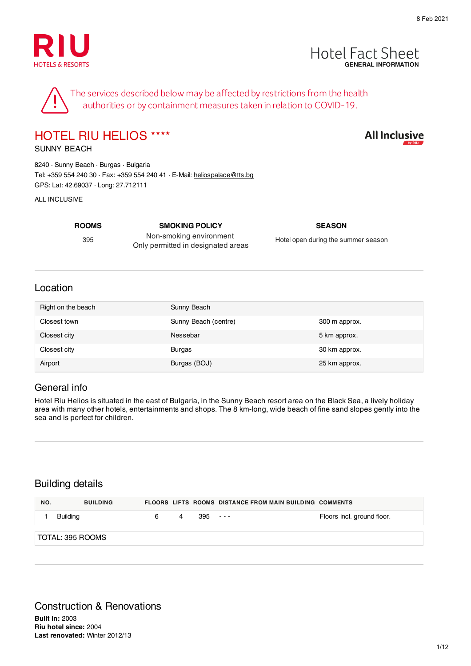



**All Inclusive** 

The services described below may be affected by restrictions from the health authorities or by containment measures taken in relation to COVID-19.

## HOTEL RIU HELIOS ★★★★

SUNNY BEACH

8240 · Sunny Beach · Burgas · Bulgaria Tel: +359 554 240 30 · Fax: +359 554 240 41 · E-Mail: heliospalace@tts.bg GPS: Lat: 42.69037 · Long: 27.712111

ALL INCLUSIVE

395

Non-smoking environment Only permitted in designated areas

**ROOMS SMOKING POLICY SEASON**

Hotel open during the summer season

#### Location

| Right on the beach | Sunny Beach          |               |
|--------------------|----------------------|---------------|
| Closest town       | Sunny Beach (centre) | 300 m approx. |
| Closest city       | Nessebar             | 5 km approx.  |
| Closest city       | <b>Burgas</b>        | 30 km approx. |
| Airport            | Burgas (BOJ)         | 25 km approx. |

#### General info

Hotel Riu Helios is situated in the east of Bulgaria, in the Sunny Beach resort area on the Black Sea, a lively holiday area with many other hotels, entertainments and shops. The 8 km-long, wide beach of fine sand slopes gently into the sea and is perfect for children.

#### Building details

| NO. | <b>BUILDING</b>  |   |   |           | <b>FLOORS LIFTS ROOMS DISTANCE FROM MAIN BUILDING COMMENTS</b> |                            |
|-----|------------------|---|---|-----------|----------------------------------------------------------------|----------------------------|
|     | Building         | 6 | 4 | $395 - -$ |                                                                | Floors incl. ground floor. |
|     | TOTAL: 395 ROOMS |   |   |           |                                                                |                            |

## Construction & Renovations

**Built in:** 2003 **Riu hotel since:** 2004 **Last renovated:** Winter 2012/13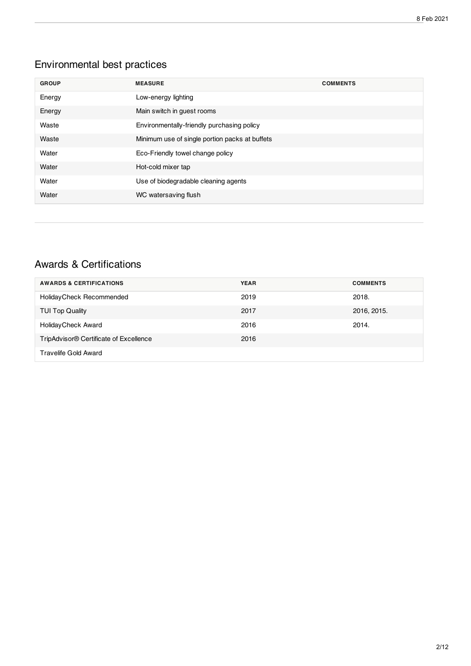## Environmental best practices

| <b>GROUP</b> | <b>MEASURE</b>                                 | <b>COMMENTS</b> |
|--------------|------------------------------------------------|-----------------|
| Energy       | Low-energy lighting                            |                 |
| Energy       | Main switch in guest rooms                     |                 |
| Waste        | Environmentally-friendly purchasing policy     |                 |
| Waste        | Minimum use of single portion packs at buffets |                 |
| Water        | Eco-Friendly towel change policy               |                 |
| Water        | Hot-cold mixer tap                             |                 |
| Water        | Use of biodegradable cleaning agents           |                 |
| Water        | WC watersaving flush                           |                 |

#### Awards & Certifications

| <b>AWARDS &amp; CERTIFICATIONS</b>                 | <b>YEAR</b> | <b>COMMENTS</b> |
|----------------------------------------------------|-------------|-----------------|
| Holiday Check Recommended                          | 2019        | 2018.           |
| <b>TUI Top Quality</b>                             | 2017        | 2016, 2015.     |
| <b>HolidayCheck Award</b>                          | 2016        | 2014.           |
| TripAdvisor <sup>®</sup> Certificate of Excellence | 2016        |                 |
| Travelife Gold Award                               |             |                 |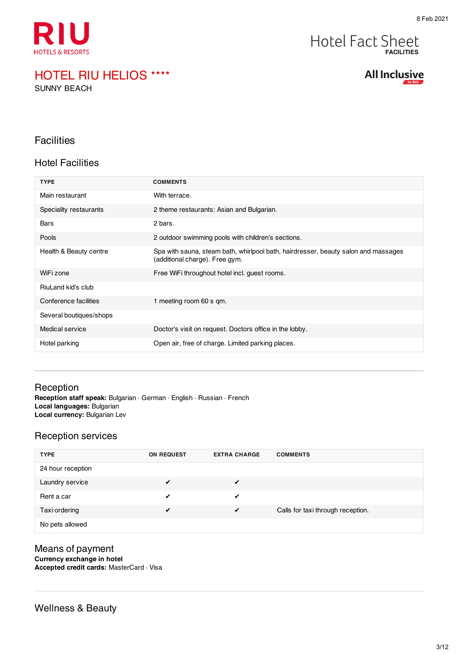

SUNNY BEACH

#### **Hotel Fact Sheet FACILITIES**

**All Inclusive** 

#### **Facilities**

#### Hotel Facilities

| <b>TYPE</b>             | <b>COMMENTS</b>                                                                                                      |
|-------------------------|----------------------------------------------------------------------------------------------------------------------|
| Main restaurant         | With terrace.                                                                                                        |
| Speciality restaurants  | 2 theme restaurants: Asian and Bulgarian.                                                                            |
| <b>Bars</b>             | 2 bars.                                                                                                              |
| Pools                   | 2 outdoor swimming pools with children's sections.                                                                   |
| Health & Beauty centre  | Spa with sauna, steam bath, whirlpool bath, hairdresser, beauty salon and massages<br>(additional charge). Free gym. |
| WiFi zone               | Free WiFi throughout hotel incl. guest rooms.                                                                        |
| RiuLand kid's club      |                                                                                                                      |
| Conference facilities   | 1 meeting room 60 s gm.                                                                                              |
| Several boutiques/shops |                                                                                                                      |
| Medical service         | Doctor's visit on request. Doctors office in the lobby.                                                              |
| Hotel parking           | Open air, free of charge. Limited parking places.                                                                    |

#### Reception **Reception staff speak:** Bulgarian · German · English · Russian · French **Local languages:** Bulgarian **Local currency:** Bulgarian Lev

#### Reception services

| <b>TYPE</b>       | <b>ON REQUEST</b> | <b>EXTRA CHARGE</b> | <b>COMMENTS</b>                   |
|-------------------|-------------------|---------------------|-----------------------------------|
| 24 hour reception |                   |                     |                                   |
| Laundry service   |                   | $\checkmark$        |                                   |
| Rent a car        |                   | ✔                   |                                   |
| Taxi ordering     | ✔                 | $\sqrt{ }$          | Calls for taxi through reception. |
| No pets allowed   |                   |                     |                                   |

#### Means of payment **Currency exchange in hotel**

**Accepted credit cards:** MasterCard · Visa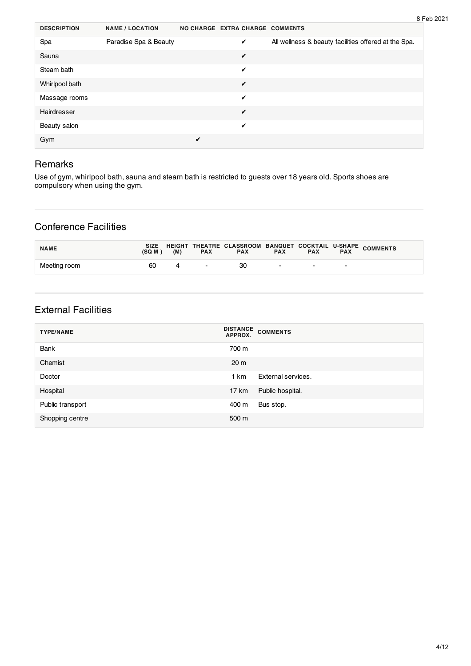| <b>DESCRIPTION</b> | <b>NAME / LOCATION</b> |   | NO CHARGE EXTRA CHARGE COMMENTS |                                                      |
|--------------------|------------------------|---|---------------------------------|------------------------------------------------------|
| Spa                | Paradise Spa & Beauty  |   | ✓                               | All wellness & beauty facilities offered at the Spa. |
| Sauna              |                        |   | $\checkmark$                    |                                                      |
| Steam bath         |                        |   | ✔                               |                                                      |
| Whirlpool bath     |                        |   | ✓                               |                                                      |
| Massage rooms      |                        |   | ✔                               |                                                      |
| Hairdresser        |                        |   | ✓                               |                                                      |
| Beauty salon       |                        |   | $\checkmark$                    |                                                      |
| Gym                |                        | ✔ |                                 |                                                      |

#### Remarks

Use of gym, whirlpool bath, sauna and steam bath is restricted to guests over 18 years old. Sports shoes are compulsory when using the gym.

#### Conference Facilities

| <b>NAME</b>  | (SQ M ) | (M) | <b>PAX</b>    | <b>PAX</b> | <b>PAX</b>               | <b>PAX</b>    | <b>PAX</b>               | SIZE HEIGHT THEATRE CLASSROOM BANQUET COCKTAIL U-SHAPE COMMENTS |
|--------------|---------|-----|---------------|------------|--------------------------|---------------|--------------------------|-----------------------------------------------------------------|
| Meeting room | 60      |     | $\sim$ $\sim$ | 30         | $\overline{\phantom{a}}$ | $\sim$ $\sim$ | $\overline{\phantom{0}}$ |                                                                 |

#### External Facilities

| <b>TYPE/NAME</b> | <b>DISTANCE</b><br><b>COMMENTS</b><br>APPROX. |
|------------------|-----------------------------------------------|
| Bank             | 700 m                                         |
| Chemist          | 20 <sub>m</sub>                               |
| Doctor           | External services.<br>1 km                    |
| Hospital         | Public hospital.<br>17 km                     |
| Public transport | Bus stop.<br>400 m                            |
| Shopping centre  | 500 m                                         |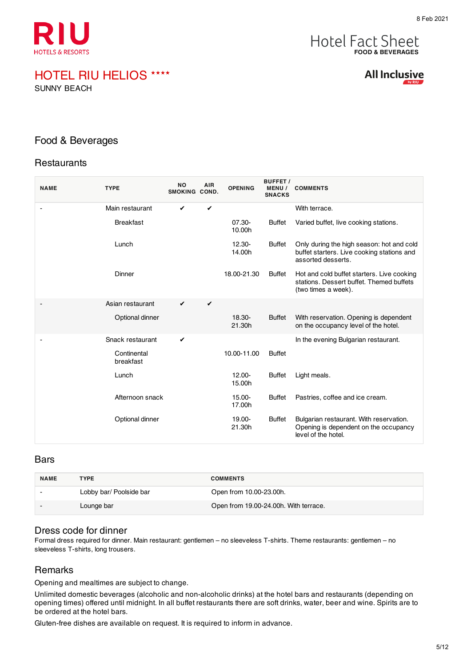

SUNNY BEACH



**All Inclusive** 

#### Food & Beverages

#### **Restaurants**

| <b>NAME</b> | <b>TYPE</b>              | <b>NO</b><br>SMOKING COND. | <b>AIR</b> | <b>OPENING</b>      | <b>BUFFET/</b><br><b>MENU/</b><br><b>SNACKS</b> | <b>COMMENTS</b>                                                                                               |
|-------------|--------------------------|----------------------------|------------|---------------------|-------------------------------------------------|---------------------------------------------------------------------------------------------------------------|
|             | Main restaurant          | ✔                          | ✔          |                     |                                                 | With terrace.                                                                                                 |
|             | <b>Breakfast</b>         |                            |            | 07.30-<br>10.00h    | <b>Buffet</b>                                   | Varied buffet, live cooking stations.                                                                         |
|             | Lunch                    |                            |            | 12.30-<br>14.00h    | <b>Buffet</b>                                   | Only during the high season: hot and cold<br>buffet starters. Live cooking stations and<br>assorted desserts. |
|             | Dinner                   |                            |            | 18.00-21.30         | <b>Buffet</b>                                   | Hot and cold buffet starters. Live cooking<br>stations. Dessert buffet. Themed buffets<br>(two times a week). |
|             | Asian restaurant         | ✔                          | ✔          |                     |                                                 |                                                                                                               |
|             | Optional dinner          |                            |            | 18.30-<br>21.30h    | <b>Buffet</b>                                   | With reservation. Opening is dependent<br>on the occupancy level of the hotel.                                |
|             | Snack restaurant         | $\checkmark$               |            |                     |                                                 | In the evening Bulgarian restaurant.                                                                          |
|             | Continental<br>breakfast |                            |            | 10.00-11.00         | <b>Buffet</b>                                   |                                                                                                               |
|             | Lunch                    |                            |            | $12.00 -$<br>15.00h | <b>Buffet</b>                                   | Light meals.                                                                                                  |
|             | Afternoon snack          |                            |            | $15.00 -$<br>17.00h | <b>Buffet</b>                                   | Pastries, coffee and ice cream.                                                                               |
|             | Optional dinner          |                            |            | 19.00-<br>21.30h    | <b>Buffet</b>                                   | Bulgarian restaurant. With reservation.<br>Opening is dependent on the occupancy<br>level of the hotel.       |

#### Bars

| <b>NAME</b>              | <b>TYPE</b>             | <b>COMMENTS</b>                       |
|--------------------------|-------------------------|---------------------------------------|
|                          | Lobby bar/ Poolside bar | Open from 10.00-23.00h.               |
| $\overline{\phantom{a}}$ | Lounge bar              | Open from 19.00-24.00h. With terrace. |

#### Dress code for dinner

Formal dress required for dinner. Main restaurant: gentlemen – no sleeveless T-shirts. Theme restaurants: gentlemen – no sleeveless T-shirts, long trousers.

#### **Remarks**

Opening and mealtimes are subject to change.

Unlimited domestic beverages (alcoholic and non-alcoholic drinks) at the hotel bars and restaurants (depending on opening times) offered until midnight. In all buffet restaurants there are soft drinks, water, beer and wine. Spirits are to be ordered at the hotel bars.

Gluten-free dishes are available on request. It is required to inform in advance.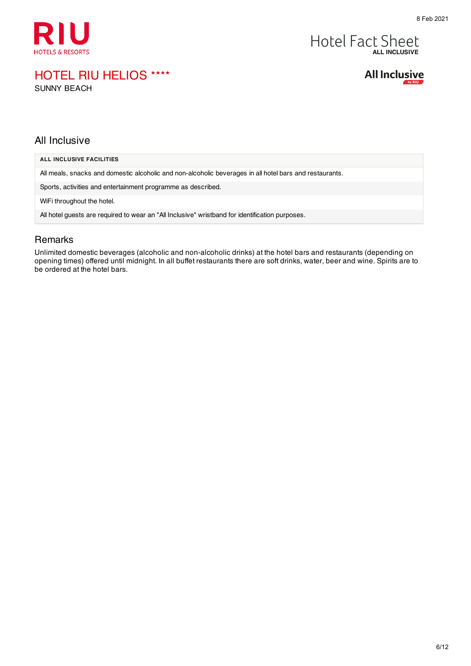

## Hotel Fact Sheet

HOTEL RIU HELIOS ★★★★

SUNNY BEACH



#### All Inclusive

| ALL INCLUSIVE FACILITIES                                                                                |
|---------------------------------------------------------------------------------------------------------|
| All meals, snacks and domestic alcoholic and non-alcoholic beverages in all hotel bars and restaurants. |
| Sports, activities and entertainment programme as described.                                            |
| WiFi throughout the hotel.                                                                              |
| All hotel quests are required to wear an "All Inclusive" wristband for identification purposes.         |
|                                                                                                         |

#### Remarks

Unlimited domestic beverages (alcoholic and non-alcoholic drinks) at the hotel bars and restaurants (depending on opening times) offered until midnight. In all buffet restaurants there are soft drinks, water, beer and wine. Spirits are to be ordered at the hotel bars.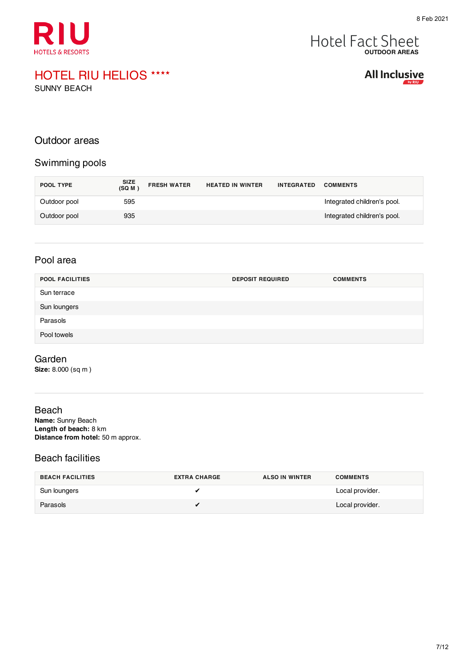

# **Hotel Fact Sheet**

## HOTEL RIU HELIOS ★★★★

SUNNY BEACH

**All Inclusive** 

#### Outdoor areas

#### Swimming pools

| POOL TYPE    | SIZE<br>(SQ M ) | <b>FRESH WATER</b> | <b>HEATED IN WINTER</b> | <b>INTEGRATED</b> | <b>COMMENTS</b>             |
|--------------|-----------------|--------------------|-------------------------|-------------------|-----------------------------|
| Outdoor pool | 595             |                    |                         |                   | Integrated children's pool. |
| Outdoor pool | 935             |                    |                         |                   | Integrated children's pool. |

#### Pool area

| <b>POOL FACILITIES</b> | <b>DEPOSIT REQUIRED</b> | <b>COMMENTS</b> |
|------------------------|-------------------------|-----------------|
| Sun terrace            |                         |                 |
| Sun loungers           |                         |                 |
| Parasols               |                         |                 |
| Pool towels            |                         |                 |

#### Garden

**Size:** 8.000 (sq m )

#### Beach

**Name:** Sunny Beach **Length of beach:** 8 km **Distance from hotel:** 50 m approx.

#### Beach facilities

| <b>BEACH FACILITIES</b> | <b>EXTRA CHARGE</b> | <b>ALSO IN WINTER</b> | <b>COMMENTS</b> |
|-------------------------|---------------------|-----------------------|-----------------|
| Sun loungers            |                     |                       | Local provider. |
| Parasols                |                     |                       | Local provider. |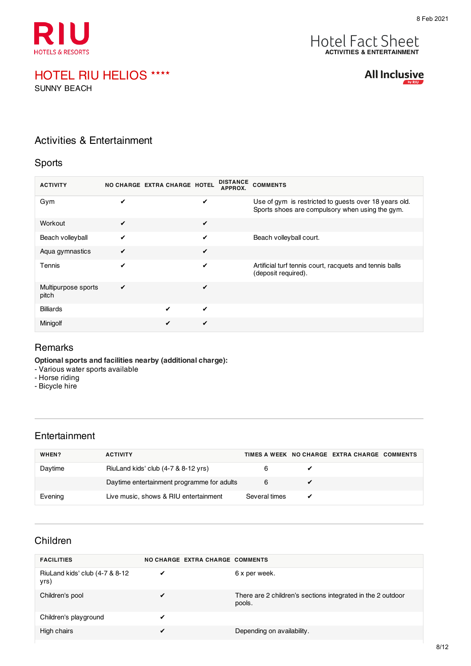



SUNNY BEACH

All Inclusive

#### Activities & Entertainment

#### Sports

| <b>ACTIVITY</b>              |   | <b>DISTANCE</b><br>NO CHARGE EXTRA CHARGE HOTEL<br>APPROX. | <b>COMMENTS</b>                                                                                          |
|------------------------------|---|------------------------------------------------------------|----------------------------------------------------------------------------------------------------------|
| Gym                          | ✔ | ✔                                                          | Use of gym is restricted to guests over 18 years old.<br>Sports shoes are compulsory when using the gym. |
| Workout                      | ✓ | ✔                                                          |                                                                                                          |
| Beach volleyball             | ✔ | ✔                                                          | Beach volleyball court.                                                                                  |
| Aqua gymnastics              | ✔ | ✔                                                          |                                                                                                          |
| Tennis                       | ✔ | ✔                                                          | Artificial turf tennis court, racquets and tennis balls<br>(deposit required).                           |
| Multipurpose sports<br>pitch | ✔ | ✔                                                          |                                                                                                          |
| <b>Billiards</b>             |   | ✔<br>✔                                                     |                                                                                                          |
| Minigolf                     |   | ✔<br>✔                                                     |                                                                                                          |

#### **Remarks**

**Optional sports and facilities nearby (additional charge):**

- Various water sports available
- Horse riding
- Bicycle hire

#### Entertainment

| WHEN?   | <b>ACTIVITY</b>                            |               |   | TIMES A WEEK NO CHARGE EXTRA CHARGE COMMENTS |  |
|---------|--------------------------------------------|---------------|---|----------------------------------------------|--|
| Daytime | RiuLand kids' club (4-7 & 8-12 yrs)        |               |   |                                              |  |
|         | Daytime entertainment programme for adults | 6             |   |                                              |  |
| Evening | Live music, shows & RIU entertainment      | Several times | ✔ |                                              |  |

#### Children

| <b>FACILITIES</b>                       | NO CHARGE EXTRA CHARGE COMMENTS |                                                                       |
|-----------------------------------------|---------------------------------|-----------------------------------------------------------------------|
| RiuLand kids' club (4-7 & 8-12)<br>yrs) | ✓                               | 6 x per week.                                                         |
| Children's pool                         | $\checkmark$                    | There are 2 children's sections integrated in the 2 outdoor<br>pools. |
| Children's playground                   | ✔                               |                                                                       |
| High chairs                             | ✔                               | Depending on availability.                                            |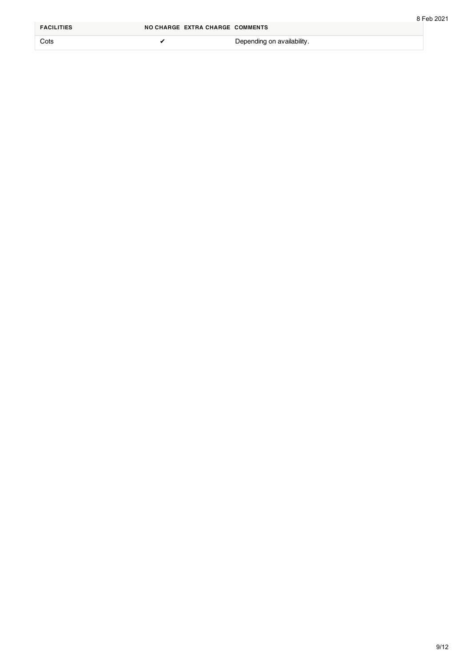| <b>FACILITIES</b> | NO CHARGE EXTRA CHARGE COMMENTS |                            |  |
|-------------------|---------------------------------|----------------------------|--|
| Cots              |                                 | Depending on availability. |  |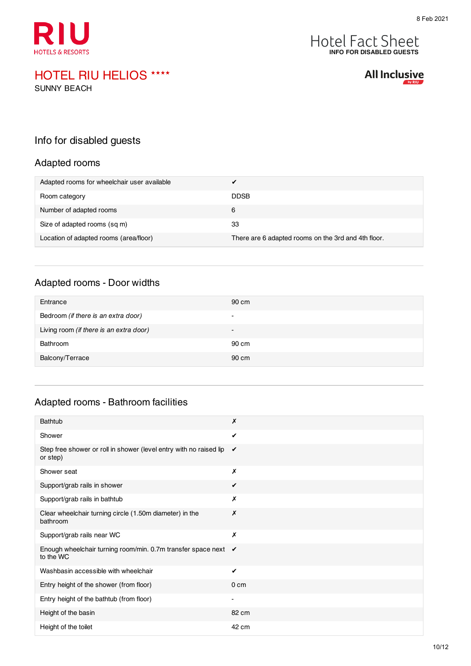



SUNNY BEACH

#### Info for disabled guests

#### Adapted rooms

| Adapted rooms for wheelchair user available |                                                     |
|---------------------------------------------|-----------------------------------------------------|
| Room category                               | <b>DDSB</b>                                         |
| Number of adapted rooms                     | 6                                                   |
| Size of adapted rooms (sq m)                | 33                                                  |
| Location of adapted rooms (area/floor)      | There are 6 adapted rooms on the 3rd and 4th floor. |

#### Adapted rooms - Door widths

| Entrance                                | 90 cm                    |
|-----------------------------------------|--------------------------|
| Bedroom (if there is an extra door)     | $\overline{\phantom{0}}$ |
| Living room (if there is an extra door) | $\overline{\phantom{0}}$ |
| Bathroom                                | 90 cm                    |
| Balcony/Terrace                         | 90 cm                    |

#### Adapted rooms - Bathroom facilities

| <b>Bathtub</b>                                                                 | Х                        |
|--------------------------------------------------------------------------------|--------------------------|
| Shower                                                                         | ✓                        |
| Step free shower or roll in shower (level entry with no raised lip<br>or step) | ✔                        |
| Shower seat                                                                    | Х                        |
| Support/grab rails in shower                                                   | ✔                        |
| Support/grab rails in bathtub                                                  | X                        |
| Clear wheelchair turning circle (1.50m diameter) in the<br>bathroom            | Х                        |
| Support/grab rails near WC                                                     | Х                        |
| Enough wheelchair turning room/min. 0.7m transfer space next ✔<br>to the WC    |                          |
| Washbasin accessible with wheelchair                                           | ✔                        |
| Entry height of the shower (from floor)                                        | 0 <sub>cm</sub>          |
| Entry height of the bathtub (from floor)                                       | $\overline{\phantom{0}}$ |
| Height of the basin                                                            | 82 cm                    |
| Height of the toilet                                                           | 42 cm                    |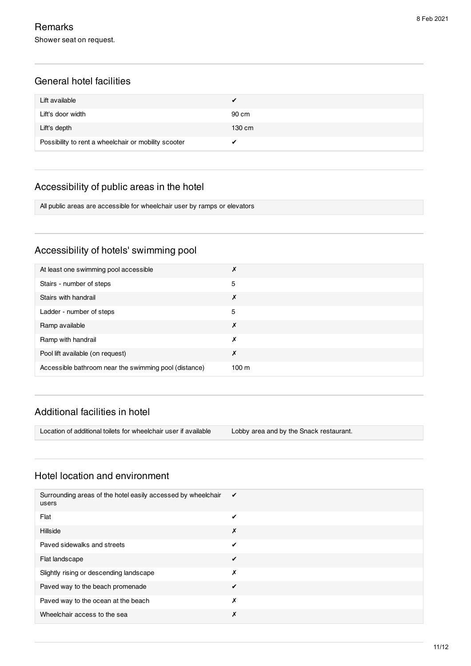#### General hotel facilities

| Lift available                                       |        |
|------------------------------------------------------|--------|
| Lift's door width                                    | 90 cm  |
| Lift's depth                                         | 130 cm |
| Possibility to rent a wheelchair or mobility scooter |        |

#### Accessibility of public areas in the hotel

All public areas are accessible for wheelchair user by ramps or elevators

#### Accessibility of hotels' swimming pool

| At least one swimming pool accessible                 | ↗                |
|-------------------------------------------------------|------------------|
| Stairs - number of steps                              | 5                |
| Stairs with handrail                                  | х                |
| Ladder - number of steps                              | 5                |
| Ramp available                                        | Х                |
| Ramp with handrail                                    | х                |
| Pool lift available (on request)                      | Х                |
| Accessible bathroom near the swimming pool (distance) | 100 <sub>m</sub> |

#### Additional facilities in hotel

Location of additional toilets for wheelchair user if available Lobby area and by the Snack restaurant.

#### Hotel location and environment

| Surrounding areas of the hotel easily accessed by wheelchair<br>users | ✔ |
|-----------------------------------------------------------------------|---|
| Flat                                                                  | ✔ |
| Hillside                                                              | Х |
| Paved sidewalks and streets                                           | ✔ |
| Flat landscape                                                        | ✔ |
| Slightly rising or descending landscape                               | Х |
| Paved way to the beach promenade                                      | ✔ |
| Paved way to the ocean at the beach                                   | Х |
| Wheelchair access to the sea                                          | Х |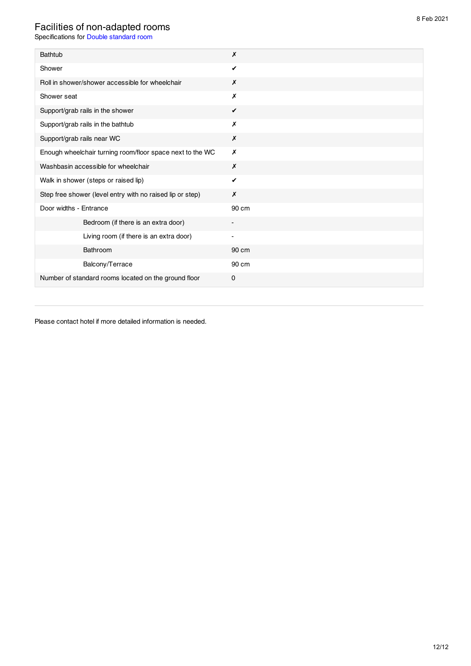#### Facilities of non-adapted rooms

Specifications for Double standard room

| Bathtub                                                   | $\boldsymbol{x}$ |
|-----------------------------------------------------------|------------------|
| Shower                                                    | $\checkmark$     |
| Roll in shower/shower accessible for wheelchair           | X                |
| Shower seat                                               | X                |
| Support/grab rails in the shower                          | ✔                |
| Support/grab rails in the bathtub                         | Х                |
| Support/grab rails near WC                                | Х                |
| Enough wheelchair turning room/floor space next to the WC | X                |
| Washbasin accessible for wheelchair                       | X                |
| Walk in shower (steps or raised lip)                      | ✔                |
| Step free shower (level entry with no raised lip or step) | X                |
| Door widths - Entrance                                    | 90 cm            |
| Bedroom (if there is an extra door)                       |                  |
| Living room (if there is an extra door)                   |                  |
| Bathroom                                                  | 90 cm            |
| Balcony/Terrace                                           | 90 cm            |
| Number of standard rooms located on the ground floor      | 0                |

Please contact hotel if more detailed information is needed.